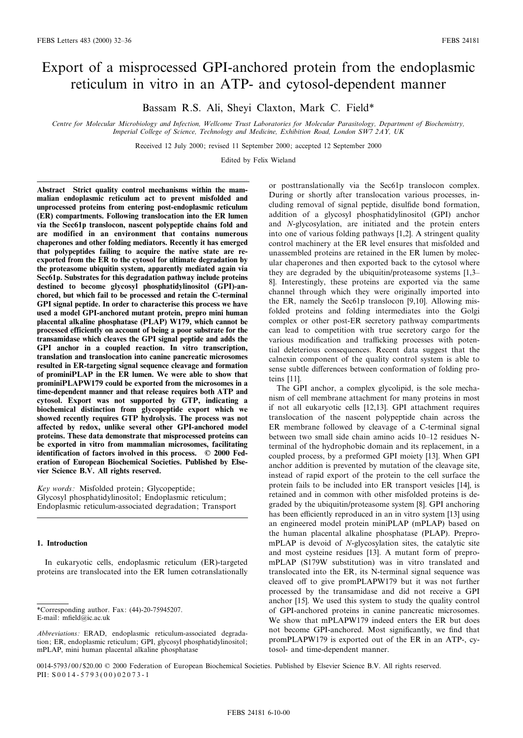# Export of a misprocessed GPI-anchored protein from the endoplasmic reticulum in vitro in an ATP- and cytosol-dependent manner

Bassam R.S. Ali, Sheyi Claxton, Mark C. Field\*

Centre for Molecular Microbiology and Infection, Wellcome Trust Laboratories for Molecular Parasitology, Department of Biochemistry, Imperial College of Science, Technology and Medicine, Exhibition Road, London SW7 2AY, UK

Received 12 July 2000; revised 11 September 2000; accepted 12 September 2000

Edited by Felix Wieland

Abstract Strict quality control mechanisms within the mammalian endoplasmic reticulum act to prevent misfolded and unprocessed proteins from entering post-endoplasmic reticulum (ER) compartments. Following translocation into the ER lumen via the Sec61p translocon, nascent polypeptide chains fold and are modified in an environment that contains numerous chaperones and other folding mediators. Recently it has emerged that polypeptides failing to acquire the native state are reexported from the ER to the cytosol for ultimate degradation by the proteasome ubiquitin system, apparently mediated again via Sec61p. Substrates for this degradation pathway include proteins destined to become glycosyl phosphatidylinositol (GPI)-anchored, but which fail to be processed and retain the C-terminal GPI signal peptide. In order to characterise this process we have used a model GPI-anchored mutant protein, prepro mini human placental alkaline phosphatase (PLAP) W179, which cannot be processed efficiently on account of being a poor substrate for the transamidase which cleaves the GPI signal peptide and adds the GPI anchor in a coupled reaction. In vitro transcription, translation and translocation into canine pancreatic microsomes resulted in ER-targeting signal sequence cleavage and formation of prominiPLAP in the ER lumen. We were able to show that prominiPLAPW179 could be exported from the microsomes in a time-dependent manner and that release requires both ATP and cytosol. Export was not supported by GTP, indicating a biochemical distinction from glycopeptide export which we showed recently requires GTP hydrolysis. The process was not affected by redox, unlike several other GPI-anchored model proteins. These data demonstrate that misprocessed proteins can be exported in vitro from mammalian microsomes, facilitating identification of factors involved in this process.  $\oslash$  2000 Federation of European Biochemical Societies. Published by Elsevier Science B.V. All rights reserved.

Key words: Misfolded protein; Glycopeptide; Glycosyl phosphatidylinositol; Endoplasmic reticulum; Endoplasmic reticulum-associated degradation; Transport

# 1. Introduction

In eukaryotic cells, endoplasmic reticulum (ER)-targeted proteins are translocated into the ER lumen cotranslationally or posttranslationally via the Sec61p translocon complex. During or shortly after translocation various processes, including removal of signal peptide, disulfide bond formation, addition of a glycosyl phosphatidylinositol (GPI) anchor and N-glycosylation, are initiated and the protein enters into one of various folding pathways [1,2]. A stringent quality control machinery at the ER level ensures that misfolded and unassembled proteins are retained in the ER lumen by molecular chaperones and then exported back to the cytosol where they are degraded by the ubiquitin/proteasome systems  $[1,3-$ 8]. Interestingly, these proteins are exported via the same channel through which they were originally imported into the ER, namely the Sec61p translocon [9,10]. Allowing misfolded proteins and folding intermediates into the Golgi complex or other post-ER secretory pathway compartments can lead to competition with true secretory cargo for the various modification and trafficking processes with potential deleterious consequences. Recent data suggest that the calnexin component of the quality control system is able to sense subtle differences between conformation of folding proteins [11].

The GPI anchor, a complex glycolipid, is the sole mechanism of cell membrane attachment for many proteins in most if not all eukaryotic cells [12,13]. GPI attachment requires translocation of the nascent polypeptide chain across the ER membrane followed by cleavage of a C-terminal signal between two small side chain amino acids 10^12 residues Nterminal of the hydrophobic domain and its replacement, in a coupled process, by a preformed GPI moiety [13]. When GPI anchor addition is prevented by mutation of the cleavage site, instead of rapid export of the protein to the cell surface the protein fails to be included into ER transport vesicles [14], is retained and in common with other misfolded proteins is degraded by the ubiquitin/proteasome system [8]. GPI anchoring has been efficiently reproduced in an in vitro system [13] using an engineered model protein miniPLAP (mPLAP) based on the human placental alkaline phosphatase (PLAP). PrepromPLAP is devoid of N-glycosylation sites, the catalytic site and most cysteine residues [13]. A mutant form of prepromPLAP (S179W substitution) was in vitro translated and translocated into the ER, its N-terminal signal sequence was cleaved off to give promPLAPW179 but it was not further processed by the transamidase and did not receive a GPI anchor [15]. We used this system to study the quality control of GPI-anchored proteins in canine pancreatic microsomes. We show that mPLAPW179 indeed enters the ER but does not become GPI-anchored. Most significantly, we find that promPLAPW179 is exported out of the ER in an ATP-, cytosol- and time-dependent manner.

<sup>\*</sup>Corresponding author. Fax: (44)-20-75945207. E-mail: m¢eld@ic.ac.uk

Abbreviations: ERAD, endoplasmic reticulum-associated degradation; ER, endoplasmic reticulum; GPI, glycosyl phosphatidylinositol; mPLAP, mini human placental alkaline phosphatase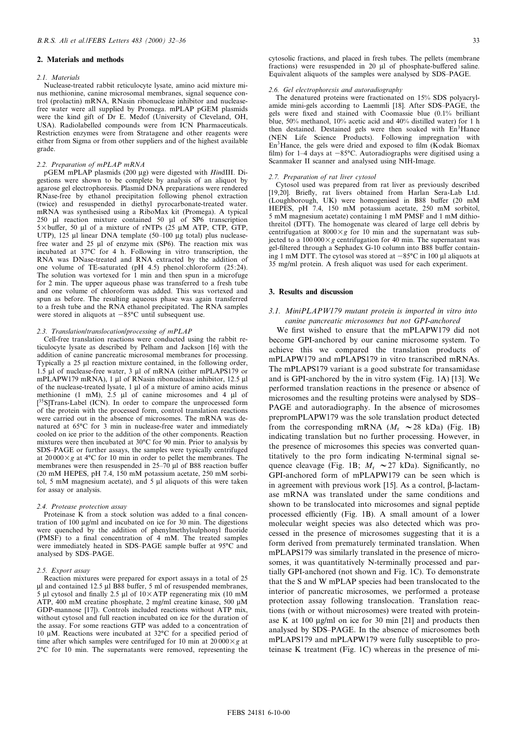## 2. Materials and methods

#### 2.1. Materials

Nuclease-treated rabbit reticulocyte lysate, amino acid mixture minus methionine, canine microsomal membranes, signal sequence control (prolactin) mRNA, RNasin ribonuclease inhibitor and nucleasefree water were all supplied by Promega. mPLAP pGEM plasmids were the kind gift of Dr E. Medof (University of Cleveland, OH, USA). Radiolabelled compounds were from ICN Pharmaceuticals. Restriction enzymes were from Stratagene and other reagents were either from Sigma or from other suppliers and of the highest available grade.

### 2.2. Preparation of mPLAP mRNA

pGEM mPLAP plasmids (200 µg) were digested with HindIII. Digestions were shown to be complete by analysis of an aliquot by agarose gel electrophoresis. Plasmid DNA preparations were rendered RNase-free by ethanol precipitation following phenol extraction (twice) and resuspended in diethyl pyrocarbonate-treated water. mRNA was synthesised using a RiboMax kit (Promega). A typical 250 µl reaction mixture contained 50 µl of SP6 transcription  $5 \times$  buffer, 50 µl of a mixture of rNTPs (25 µM ATP, CTP, GTP, UTP), 125  $\mu$ l linear DNA template (50-100  $\mu$ g total) plus nucleasefree water and  $25 \mu l$  of enzyme mix (SP6). The reaction mix was incubated at  $37^{\circ}$ C for 4 h. Following in vitro transcription, the RNA was DNase-treated and RNA extracted by the addition of one volume of TE-saturated (pH 4.5) phenol:chloroform (25:24). The solution was vortexed for 1 min and then spun in a microfuge for 2 min. The upper aqueous phase was transferred to a fresh tube and one volume of chloroform was added. This was vortexed and spun as before. The resulting aqueous phase was again transferred to a fresh tube and the RNA ethanol precipitated. The RNA samples were stored in aliquots at  $-85^{\circ}$ C until subsequent use.

#### 2.3. Translation/translocation/processing of mPLAP

Cell-free translation reactions were conducted using the rabbit reticulocyte lysate as described by Pelham and Jackson [16] with the addition of canine pancreatic microsomal membranes for processing. Typically a 25 µl reaction mixture contained, in the following order, 1.5  $\mu$ l of nuclease-free water, 3  $\mu$ l of mRNA (either mPLAPS179 or mPLAPW179 mRNA), 1 µl of RNasin ribonuclease inhibitor, 12.5 µl of the nuclease-treated lysate,  $1 \mu l$  of a mixture of amino acids minus methionine  $(1 \text{ mM})$ ,  $2.5 \text{ µl}$  of canine microsomes and  $4 \text{ µl}$  of [<sup>35</sup>S]Trans-Label (ICN). In order to compare the unprocessed form of the protein with the processed form, control translation reactions were carried out in the absence of microsomes. The mRNA was denatured at 65°C for 3 min in nuclease-free water and immediately cooled on ice prior to the addition of the other components. Reaction mixtures were then incubated at 30°C for 90 min. Prior to analysis by SDS-PAGE or further assays, the samples were typically centrifuged at  $20000 \times g$  at 4°C for 10 min in order to pellet the membranes. The membranes were then resuspended in  $25-70 \mu$ l of B88 reaction buffer (20 mM HEPES, pH 7.4, 150 mM potassium acetate, 250 mM sorbitol, 5 mM magnesium acetate), and 5  $\mu$ l aliquots of this were taken for assay or analysis.

#### 2.4. Protease protection assay

Proteinase  $\overline{K}$  from a stock solution was added to a final concentration of  $100 \mu g/ml$  and incubated on ice for 30 min. The digestions were quenched by the addition of phenylmethylsulphonyl fluoride  $(PMSF)$  to a final concentration of 4 mM. The treated samples were immediately heated in SDS-PAGE sample buffer at 95°C and analysed by SDS^PAGE.

#### 2.5. Export assay

Reaction mixtures were prepared for export assays in a total of 25  $\mu$ l and contained 12.5  $\mu$ l B88 buffer, 5 ml of resuspended membranes, 5 µl cytosol and finally 2.5 µl of  $10\times$ ATP regenerating mix (10 mM ATP, 400 mM creatine phosphate, 2 mg/ml creatine kinase, 500  $\mu$ M GDP-mannose [17]). Controls included reactions without ATP mix, without cytosol and full reaction incubated on ice for the duration of the assay. For some reactions GTP was added to a concentration of 10  $\mu$ M. Reactions were incubated at 32 $\degree$ C for a specified period of time after which samples were centrifuged for 10 min at  $20000 \times g$  at  $2^{\circ}$ C for 10 min. The supernatants were removed, representing the

cytosolic fractions, and placed in fresh tubes. The pellets (membrane fractions) were resuspended in 20  $\mu$ l of phosphate-buffered saline. Equivalent aliquots of the samples were analysed by SDS^PAGE.

#### 2.6. Gel electrophoresis and autoradiography

The denatured proteins were fractionated on 15% SDS polyacrylamide mini-gels according to Laemmli [18]. After SDS^PAGE, the gels were fixed and stained with Coomassie blue (0.1% brilliant blue, 50% methanol, 10% acetic acid and 40% distilled water) for 1 h then destained. Destained gels were then soaked with  $En<sup>3</sup>Hance$ (NEN Life Science Products). Following impregnation with En<sup>3</sup>Hance, the gels were dried and exposed to film (Kodak Biomax film) for 1-4 days at  $-85^{\circ}$ C. Autoradiographs were digitised using a Scanmaker II scanner and analysed using NIH-Image.

#### 2.7. Preparation of rat liver cytosol

Cytosol used was prepared from rat liver as previously described [19,20]. Brie£y, rat livers obtained from Harlan Sera-Lab Ltd. (Loughborough, UK) were homogenised in B88 buffer (20 mM HEPES, pH 7.4, 150 mM potassium acetate, 250 mM sorbitol, 5 mM magnesium acetate) containing 1 mM PMSF and 1 mM dithiothreitol (DTT). The homogenate was cleared of large cell debris by centrifugation at  $8000 \times g$  for 10 min and the supernatant was subjected to a  $100000 \times g$  centrifugation for 40 min. The supernatant was gel-filtered through a Sephadex G-10 column into B88 buffer containing 1 mM DTT. The cytosol was stored at  $-85^{\circ}$ C in 100 µl aliquots at 35 mg/ml protein. A fresh aliquot was used for each experiment.

## 3. Results and discussion

# 3.1. MiniPLAPW179 mutant protein is imported in vitro into canine pancreatic microsomes but not GPI-anchored

We first wished to ensure that the mPLAPW179 did not become GPI-anchored by our canine microsome system. To achieve this we compared the translation products of mPLAPW179 and mPLAPS179 in vitro transcribed mRNAs. The mPLAPS179 variant is a good substrate for transamidase and is GPI-anchored by the in vitro system (Fig. 1A) [13]. We performed translation reactions in the presence or absence of microsomes and the resulting proteins were analysed by SDS-PAGE and autoradiography. In the absence of microsomes prepromPLAPW179 was the sole translation product detected from the corresponding mRNA  $(M_r \sim 28 \text{ kDa})$  (Fig. 1B) indicating translation but no further processing. However, in the presence of microsomes this species was converted quantitatively to the pro form indicating N-terminal signal sequence cleavage (Fig. 1B;  $M_r \sim 27$  kDa). Significantly, no GPI-anchored form of mPLAPW179 can be seen which is in agreement with previous work [15]. As a control,  $\beta$ -lactamase mRNA was translated under the same conditions and shown to be translocated into microsomes and signal peptide processed efficiently (Fig. 1B). A small amount of a lower molecular weight species was also detected which was processed in the presence of microsomes suggesting that it is a form derived from prematurely terminated translation. When mPLAPS179 was similarly translated in the presence of microsomes, it was quantitatively N-terminally processed and partially GPI-anchored (not shown and Fig. 1C). To demonstrate that the S and W mPLAP species had been translocated to the interior of pancreatic microsomes, we performed a protease protection assay following translocation. Translation reactions (with or without microsomes) were treated with proteinase K at 100  $\mu$ g/ml on ice for 30 min [21] and products then analysed by SDS^PAGE. In the absence of microsomes both mPLAPS179 and mPLAPW179 were fully susceptible to proteinase K treatment (Fig. 1C) whereas in the presence of mi-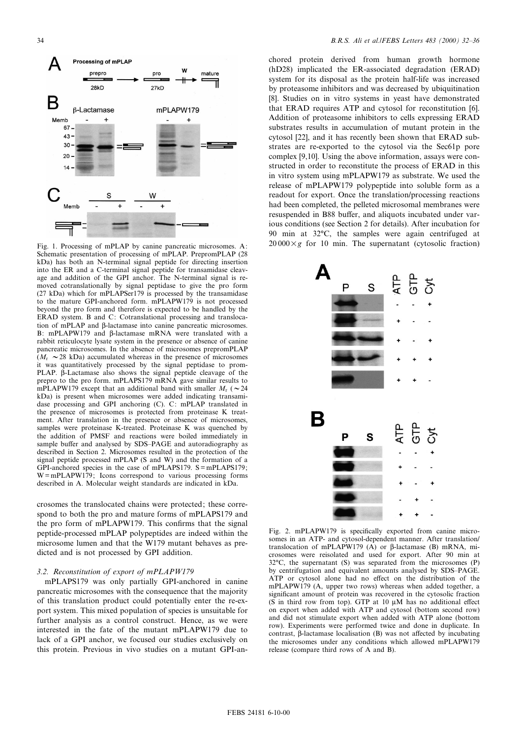

Schematic presentation of processing of mPLAP. PrepromPLAP (28) kDa) has both an N-terminal signal peptide for directing insertion into the ER and a C-terminal signal peptide for transamidase cleavage and addition of the GPI anchor. The N-terminal signal is removed cotranslationally by signal peptidase to give the pro form (27 kDa) which for mPLAPSer179 is processed by the transamidase to the mature GPI-anchored form. mPLAPW179 is not processed beyond the pro form and therefore is expected to be handled by the ERAD system. B and C: Cotranslational processing and translocation of mPLAP and  $\beta$ -lactamase into canine pancreatic microsomes. B: mPLAPW179 and B-lactamase mRNA were translated with a rabbit reticulocyte lysate system in the presence or absence of canine pancreatic microsomes. In the absence of microsomes prepromPLAP  $(M_r \sim 28 \text{ kDa})$  accumulated whereas in the presence of microsomes it was quantitatively processed by the signal peptidase to prom-PLAP.  $\hat{\beta}$ -Lactamase also shows the signal peptide cleavage of the prepro to the pro form. mPLAPS179 mRNA gave similar results to mPLAPW179 except that an additional band with smaller  $M_r$  ( $\sim$  24 kDa) is present when microsomes were added indicating transamidase processing and GPI anchoring (C). C: mPLAP translated in the presence of microsomes is protected from proteinase K treatment. After translation in the presence or absence of microsomes, samples were proteinase K-treated. Proteinase K was quenched by the addition of PMSF and reactions were boiled immediately in sample buffer and analysed by SDS-PAGE and autoradiography as described in Section 2. Microsomes resulted in the protection of the signal peptide processed mPLAP (S and W) and the formation of a GPI-anchored species in the case of mPLAPS179. S = mPLAPS179;  $W = mPLAPW179$ ; Icons correspond to various processing forms described in A. Molecular weight standards are indicated in kDa.

crosomes the translocated chains were protected; these correspond to both the pro and mature forms of mPLAPS179 and the pro form of mPLAPW179. This confirms that the signal peptide-processed mPLAP polypeptides are indeed within the microsome lumen and that the W179 mutant behaves as predicted and is not processed by GPI addition.

# 3.2. Reconstitution of export of mPLAPW179

mPLAPS179 was only partially GPI-anchored in canine pancreatic microsomes with the consequence that the majority of this translation product could potentially enter the re-export system. This mixed population of species is unsuitable for further analysis as a control construct. Hence, as we were interested in the fate of the mutant mPLAPW179 due to lack of a GPI anchor, we focused our studies exclusively on this protein. Previous in vivo studies on a mutant GPI-an-

chored protein derived from human growth hormone (hD28) implicated the ER-associated degradation (ERAD) system for its disposal as the protein half-life was increased by proteasome inhibitors and was decreased by ubiquitination [8]. Studies on in vitro systems in yeast have demonstrated that ERAD requires ATP and cytosol for reconstitution [6]. Addition of proteasome inhibitors to cells expressing ERAD substrates results in accumulation of mutant protein in the cytosol [22], and it has recently been shown that ERAD substrates are re-exported to the cytosol via the Sec61p pore complex [9,10]. Using the above information, assays were constructed in order to reconstitute the process of ERAD in this in vitro system using mPLAPW179 as substrate. We used the release of mPLAPW179 polypeptide into soluble form as a readout for export. Once the translation/processing reactions had been completed, the pelleted microsomal membranes were resuspended in B88 buffer, and aliquots incubated under various conditions (see Section 2 for details). After incubation for 90 min at 32°C, the samples were again centrifuged at Fig. 1. Processing of mPLAP by canine pancreatic microsomes. A:  $20000 \times g$  for 10 min. The supernatant (cytosolic fraction)



Fig. 2. mPLAPW179 is specifically exported from canine microsomes in an ATP- and cytosol-dependent manner. After translation/ translocation of mPLAPW179 (A) or  $\beta$ -lactamase (B) mRNA, microsomes were reisolated and used for export. After 90 min at  $32^{\circ}$ C, the supernatant (S) was separated from the microsomes (P) by centrifugation and equivalent amounts analysed by SDS^PAGE. ATP or cytosol alone had no effect on the distribution of the mPLAPW179 (A, upper two rows) whereas when added together, a significant amount of protein was recovered in the cytosolic fraction (S in third row from top). GTP at  $10 \mu M$  has no additional effect on export when added with ATP and cytosol (bottom second row) and did not stimulate export when added with ATP alone (bottom row). Experiments were performed twice and done in duplicate. In contrast,  $\beta$ -lactamase localisation (B) was not affected by incubating the microsomes under any conditions which allowed mPLAPW179 release (compare third rows of A and B).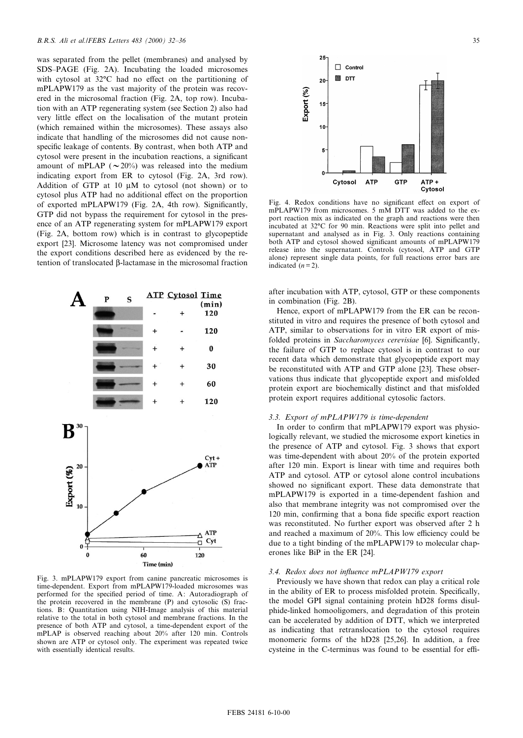was separated from the pellet (membranes) and analysed by SDS-PAGE (Fig. 2A). Incubating the loaded microsomes with cytosol at  $32^{\circ}$ C had no effect on the partitioning of mPLAPW179 as the vast majority of the protein was recovered in the microsomal fraction (Fig. 2A, top row). Incubation with an ATP regenerating system (see Section 2) also had very little effect on the localisation of the mutant protein (which remained within the microsomes). These assays also indicate that handling of the microsomes did not cause nonspecific leakage of contents. By contrast, when both ATP and cytosol were present in the incubation reactions, a significant amount of mPLAP ( $\sim$ 20%) was released into the medium indicating export from ER to cytosol (Fig. 2A, 3rd row). Addition of GTP at 10  $\mu$ M to cytosol (not shown) or to cytosol plus ATP had no additional effect on the proportion of exported mPLAPW179 (Fig. 2A, 4th row). Significantly, GTP did not bypass the requirement for cytosol in the presence of an ATP regenerating system for mPLAPW179 export (Fig. 2A, bottom row) which is in contrast to glycopeptide export [23]. Microsome latency was not compromised under the export conditions described here as evidenced by the retention of translocated  $\beta$ -lactamase in the microsomal fraction



Fig. 3. mPLAPW179 export from canine pancreatic microsomes is time-dependent. Export from mPLAPW179-loaded microsomes was performed for the specified period of time. A: Autoradiograph of the protein recovered in the membrane (P) and cytosolic (S) fractions. B: Quantitation using NIH-Image analysis of this material relative to the total in both cytosol and membrane fractions. In the presence of both ATP and cytosol, a time-dependent export of the mPLAP is observed reaching about 20% after 120 min. Controls shown are ATP or cytosol only. The experiment was repeated twice with essentially identical results.



Fig. 4. Redox conditions have no significant effect on export of mPLAPW179 from microsomes. 5 mM DTT was added to the export reaction mix as indicated on the graph and reactions were then incubated at 32°C for 90 min. Reactions were split into pellet and supernatant and analysed as in Fig. 3. Only reactions containing both ATP and cytosol showed significant amounts of mPLAPW179 release into the supernatant. Controls (cytosol, ATP and GTP alone) represent single data points, for full reactions error bars are indicated  $(n=2)$ .

after incubation with ATP, cytosol, GTP or these components in combination (Fig. 2B).

Hence, export of mPLAPW179 from the ER can be reconstituted in vitro and requires the presence of both cytosol and ATP, similar to observations for in vitro ER export of misfolded proteins in Saccharomyces cerevisiae [6]. Significantly, the failure of GTP to replace cytosol is in contrast to our recent data which demonstrate that glycopeptide export may be reconstituted with ATP and GTP alone [23]. These observations thus indicate that glycopeptide export and misfolded protein export are biochemically distinct and that misfolded protein export requires additional cytosolic factors.

## 3.3. Export of mPLAPW179 is time-dependent

In order to confirm that mPLAPW179 export was physiologically relevant, we studied the microsome export kinetics in the presence of ATP and cytosol. Fig. 3 shows that export was time-dependent with about 20% of the protein exported after 120 min. Export is linear with time and requires both ATP and cytosol. ATP or cytosol alone control incubations showed no significant export. These data demonstrate that mPLAPW179 is exported in a time-dependent fashion and also that membrane integrity was not compromised over the 120 min, confirming that a bona fide specific export reaction was reconstituted. No further export was observed after 2 h and reached a maximum of  $20%$ . This low efficiency could be due to a tight binding of the mPLAPW179 to molecular chaperones like BiP in the ER [24].

# 3.4. Redox does not influence mPLAPW179 export

Previously we have shown that redox can play a critical role in the ability of ER to process misfolded protein. Specifically, the model GPI signal containing protein hD28 forms disulphide-linked homooligomers, and degradation of this protein can be accelerated by addition of DTT, which we interpreted as indicating that retranslocation to the cytosol requires monomeric forms of the hD28 [25,26]. In addition, a free cysteine in the C-terminus was found to be essential for effi